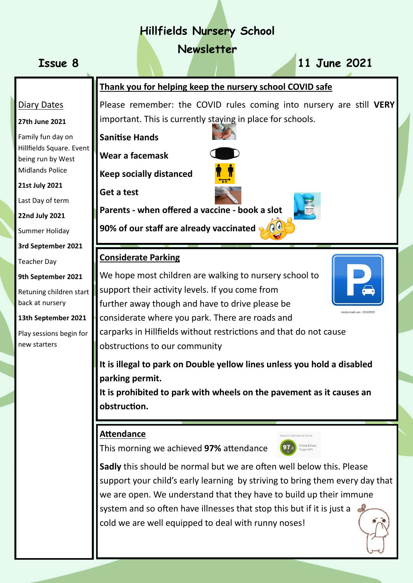# **Hillfields Nursery School**

## **Newsletter**

# **Issue 8 11 June 2021**

Diary Dates

**27th June 2021**

**21st July 2021**

Last Day of term

**22nd July 2021**

Summer Holiday

Teacher Day

back at nursery

new starters

**3rd September 2021**

**9th September 2021**

Retuning children start

**13th September 2021**

Play sessions begin for

Family fun day on

Hillfields Square. Event being run by West Midlands Police

## **Thank you for helping keep the nursery school COVID safe**

Please remember: the COVID rules coming into nursery are still **VERY** important. This is currently staying in place for schools.

**Sanitise Hands** 



**Wear a facemask**

**Keep socially distanced**

**Get a test** 

**Parents - when offered a vaccine - book a slot………**

**90% of our staff are already vaccinated**  $\bigcirc$ 

## **Considerate Parking**

We hope most children are walking to nursery school to support their activity levels. If you come from further away though and have to drive please be considerate where you park. There are roads and carparks in Hillfields without restrictions and that do not cause obstructions to our community

**It is illegal to park on Double yellow lines unless you hold a disabled parking permit.** 

**It is prohibited to park with wheels on the pavement as it causes an obstruction.** 

## **Attendance**

This morning we achieved **97%** attendance

**Sadly** this should be normal but we are often well below this. Please support your child's early learning by striving to bring them every day that we are open. We understand that they have to build up their immune system and so often have illnesses that stop this but if it is just a  $\epsilon$ cold we are well equipped to deal with runny noses!





97.0 Whole School